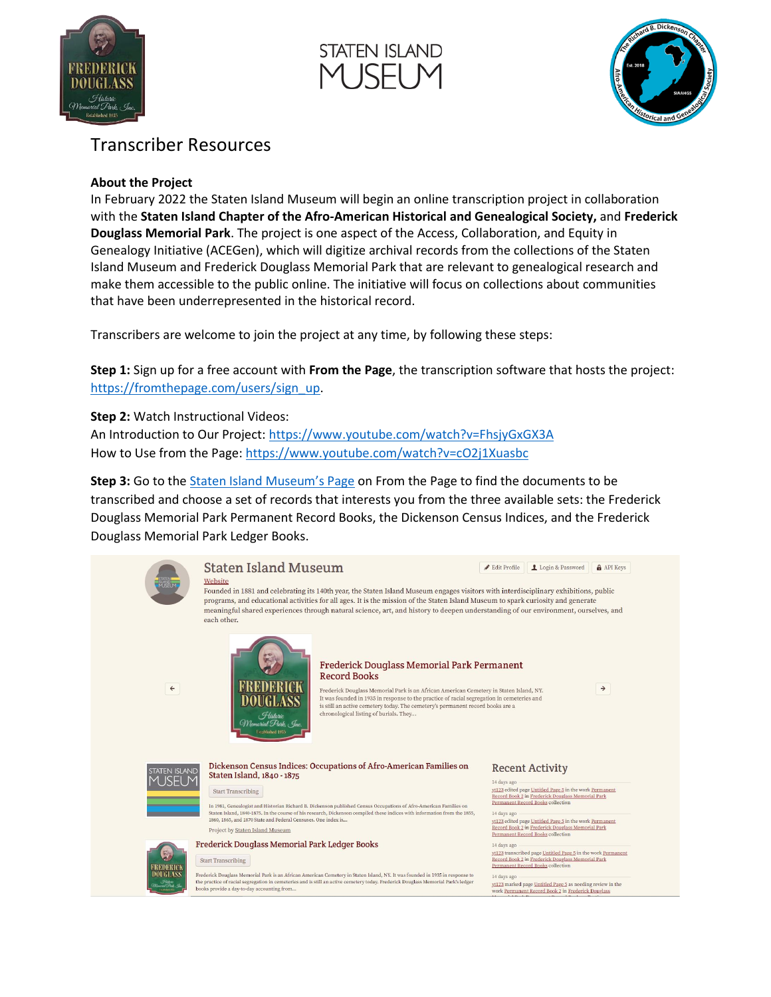





## Transcriber Resources

## **About the Project**

In February 2022 the Staten Island Museum will begin an online transcription project in collaboration with the **Staten Island Chapter of the Afro-American Historical and Genealogical Society,** and **Frederick Douglass Memorial Park**. The project is one aspect of the Access, Collaboration, and Equity in Genealogy Initiative (ACEGen), which will digitize archival records from the collections of the Staten Island Museum and Frederick Douglass Memorial Park that are relevant to genealogical research and make them accessible to the public online. The initiative will focus on collections about communities that have been underrepresented in the historical record.

Transcribers are welcome to join the project at any time, by following these steps:

**Step 1:** Sign up for a free account with **From the Page**, the transcription software that hosts the project: [https://fromthepage.com/users/sign\\_up.](https://fromthepage.com/users/sign_up)

**Step 2:** Watch Instructional Videos:

An Introduction to Our Project[: https://www.youtube.com/watch?v=FhsjyGxGX3A](https://www.youtube.com/watch?v=FhsjyGxGX3A) How to Use from the Page: <https://www.youtube.com/watch?v=cO2j1Xuasbc>

**Step 3:** Go to the [Staten Island Museum's Page](https://fromthepage.com/statenislandmuseum) on From the Page to find the documents to be transcribed and choose a set of records that interests you from the three available sets: the Frederick Douglass Memorial Park Permanent Record Books, the Dickenson Census Indices, and the Frederick Douglass Memorial Park Ledger Books.